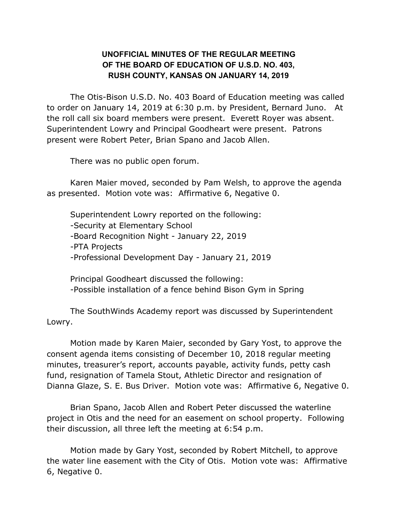## **UNOFFICIAL MINUTES OF THE REGULAR MEETING OF THE BOARD OF EDUCATION OF U.S.D. NO. 403, RUSH COUNTY, KANSAS ON JANUARY 14, 2019**

The Otis-Bison U.S.D. No. 403 Board of Education meeting was called to order on January 14, 2019 at 6:30 p.m. by President, Bernard Juno. At the roll call six board members were present. Everett Royer was absent. Superintendent Lowry and Principal Goodheart were present. Patrons present were Robert Peter, Brian Spano and Jacob Allen.

There was no public open forum.

Karen Maier moved, seconded by Pam Welsh, to approve the agenda as presented. Motion vote was: Affirmative 6, Negative 0.

Superintendent Lowry reported on the following: -Security at Elementary School -Board Recognition Night - January 22, 2019 -PTA Projects -Professional Development Day - January 21, 2019

Principal Goodheart discussed the following: -Possible installation of a fence behind Bison Gym in Spring

The SouthWinds Academy report was discussed by Superintendent Lowry.

Motion made by Karen Maier, seconded by Gary Yost, to approve the consent agenda items consisting of December 10, 2018 regular meeting minutes, treasurer's report, accounts payable, activity funds, petty cash fund, resignation of Tamela Stout, Athletic Director and resignation of Dianna Glaze, S. E. Bus Driver. Motion vote was: Affirmative 6, Negative 0.

Brian Spano, Jacob Allen and Robert Peter discussed the waterline project in Otis and the need for an easement on school property. Following their discussion, all three left the meeting at 6:54 p.m.

Motion made by Gary Yost, seconded by Robert Mitchell, to approve the water line easement with the City of Otis. Motion vote was: Affirmative 6, Negative 0.